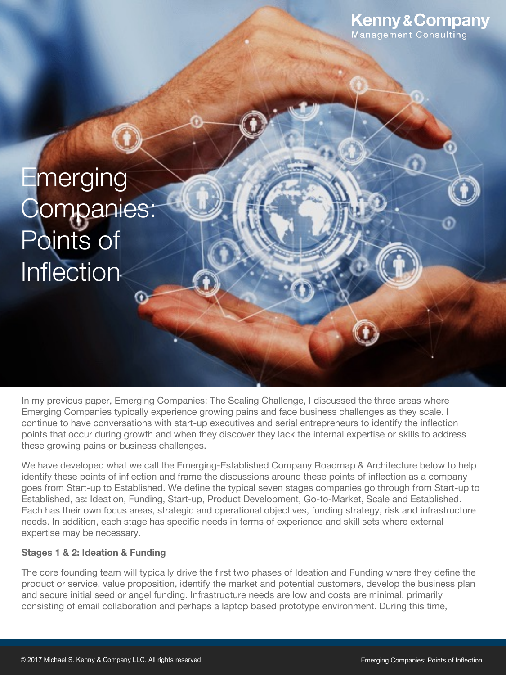

# **Emerging** Companies: Points of Inflection

In my previous paper, Emerging Companies: The Scaling Challenge, I discussed the three areas where Emerging Companies typically experience growing pains and face business challenges as they scale. I continue to have conversations with start-up executives and serial entrepreneurs to identify the inflection points that occur during growth and when they discover they lack the internal expertise or skills to address these growing pains or business challenges.

We have developed what we call the Emerging-Established Company Roadmap & Architecture below to help identify these points of inflection and frame the discussions around these points of inflection as a company goes from Start-up to Established. We define the typical seven stages companies go through from Start-up to Established, as: Ideation, Funding, Start-up, Product Development, Go-to-Market, Scale and Established. Each has their own focus areas, strategic and operational objectives, funding strategy, risk and infrastructure needs. In addition, each stage has specific needs in terms of experience and skill sets where external expertise may be necessary.

#### **Stages 1 & 2: Ideation & Funding**

The core founding team will typically drive the first two phases of Ideation and Funding where they define the product or service, value proposition, identify the market and potential customers, develop the business plan and secure initial seed or angel funding. Infrastructure needs are low and costs are minimal, primarily consisting of email collaboration and perhaps a laptop based prototype environment. During this time,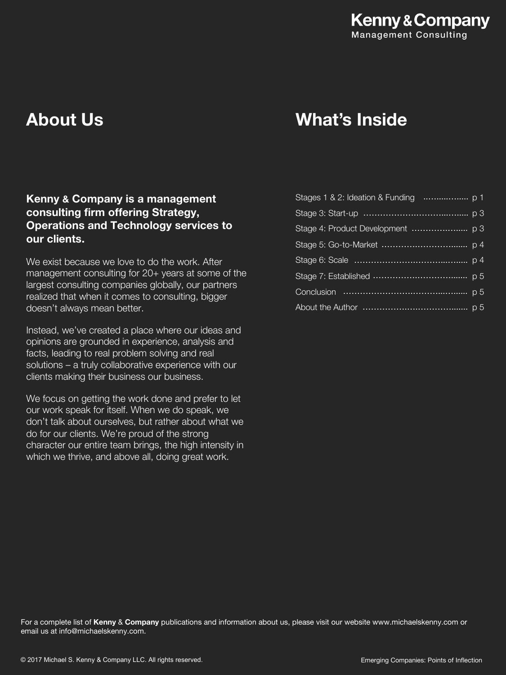# **Kenny & Company Management Consulting**

# **About Us**

# **What's Inside**

# **Kenny & Company is a management consulting firm offering Strategy, Operations and Technology services to our clients.**

We exist because we love to do the work. After management consulting for 20+ years at some of the largest consulting companies globally, our partners realized that when it comes to consulting, bigger doesn't always mean better.

Instead, we've created a place where our ideas and opinions are grounded in experience, analysis and facts, leading to real problem solving and real solutions – a truly collaborative experience with our clients making their business our business.

We focus on getting the work done and prefer to let our work speak for itself. When we do speak, we don't talk about ourselves, but rather about what we do for our clients. We're proud of the strong character our entire team brings, the high intensity in which we thrive, and above all, doing great work.

For a complete list of **Kenny** & **Company** publications and information about us, please visit our website www.michaelskenny.com or email us at info@michaelskenny.com.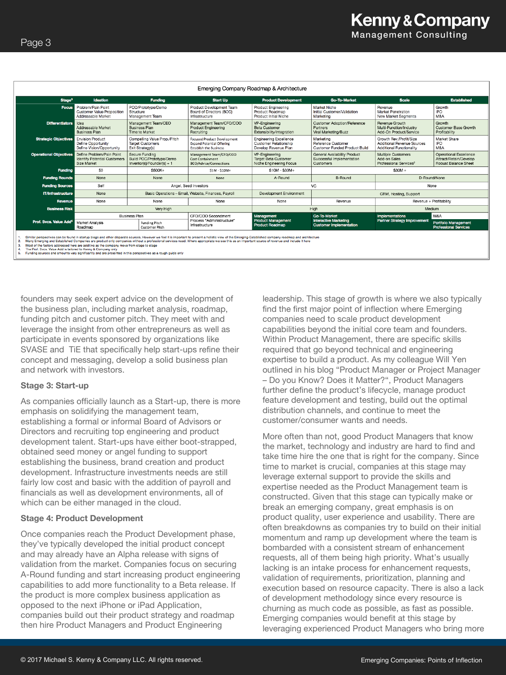| Emerging Company Roadmap & Architecture                                                                                                                                                                                                                                                                                                                                                                                                                                                                                                                                                          |                                                                                 |                                                                             |                                                                                                         |                                                                                       |                                                                         |                                                                                          |                                                                                 |  |  |
|--------------------------------------------------------------------------------------------------------------------------------------------------------------------------------------------------------------------------------------------------------------------------------------------------------------------------------------------------------------------------------------------------------------------------------------------------------------------------------------------------------------------------------------------------------------------------------------------------|---------------------------------------------------------------------------------|-----------------------------------------------------------------------------|---------------------------------------------------------------------------------------------------------|---------------------------------------------------------------------------------------|-------------------------------------------------------------------------|------------------------------------------------------------------------------------------|---------------------------------------------------------------------------------|--|--|
| Stage <sup>3</sup>                                                                                                                                                                                                                                                                                                                                                                                                                                                                                                                                                                               | <b>Ideation</b>                                                                 | <b>Funding</b>                                                              | <b>Start Up</b>                                                                                         | <b>Product Development</b>                                                            | <b>Go-To-Market</b>                                                     | <b>Scale</b>                                                                             | <b>Established</b>                                                              |  |  |
| <b>Focus</b>                                                                                                                                                                                                                                                                                                                                                                                                                                                                                                                                                                                     | Problem/Pain Point<br><b>Customer Value Proposition</b><br>Addressable Market   | POC/Prototype/Demo<br>Structure<br>Management Team                          | Product Development Team<br>Board of Directors (BOD)<br>Infrastructure                                  | <b>Product Engineering</b><br>Product Roadmap<br>Product Initial Niche                | Market Niche<br>Initial Customer/Validation<br>Marketing                | Revenue<br>Market Penetration<br><b>New Market Segments</b>                              | Growth<br><b>IPO</b><br>M&A                                                     |  |  |
| <b>Differentiators</b>                                                                                                                                                                                                                                                                                                                                                                                                                                                                                                                                                                           | Idea<br>Addressable Market<br>Business Plan                                     | Management Team/CEO<br><b>Business Plan</b><br>Time to Market               | Management Team/CFO/COO<br><b>Product Engineering</b><br>Recruiting                                     | VP-Engineering<br><b>Beta Customer</b><br>Extensibility/Integration                   | <b>Customer Adoption/Reference</b><br>Partners<br>Viral Marketing/Buzz  | Revenue Growth<br>Multi-Function/Industry<br>Add-On Product/Service                      | Growth<br>Customer Base Growth<br>Profitability                                 |  |  |
| <b>Strategic Objectives</b>                                                                                                                                                                                                                                                                                                                                                                                                                                                                                                                                                                      | <b>Envision Product</b><br>Define Opportunity<br>Define Vision/Opportunity      | Compelling Value Prop./Pitch<br><b>Target Customers</b><br>Exit Strategy(s) | <b>Focused Product Development</b><br><b>Expand Potential Offering</b><br><b>Establish the Business</b> | <b>Engineering Excellence</b><br><b>Customer Relationship</b><br>Develop Revenue Plan | Marketing<br>Reference Customer<br><b>Customer Funded Product Build</b> | Growth Rev./Profit/Size<br>Additional Revenue Sources<br><b>Additional Functionality</b> | Market Share<br><b>IPO</b><br><b>M&amp;A</b>                                    |  |  |
| <b>Operational Objectives</b>                                                                                                                                                                                                                                                                                                                                                                                                                                                                                                                                                                    | Define Problem/Pain Point<br><b>Identify Potential Customers</b><br>Size Market | Secure Funding<br>Build POC/Prototype/Demo<br>Inventor(s)/Founder(s) + 1    | Management Team/CFO/COO<br><b>Cost Containment</b><br><b>BOD/Advice/Connections</b>                     | VP-Engineering<br><b>Target Beta Customer</b><br>Niche Engineering Focus              | General Availability Product<br>Successful Implementation<br>Customers  | Multiple Customers<br>Add-on Sales<br>Professional Services <sup>2</sup>                 | Operational Excellence<br>Attract/Retain/Develop<br><b>Robust Balance Sheet</b> |  |  |
| <b>Funding</b>                                                                                                                                                                                                                                                                                                                                                                                                                                                                                                                                                                                   | S <sub>0</sub>                                                                  | S500K+                                                                      | S5M - \$10M+                                                                                            | $$10M - $30M+$                                                                        |                                                                         | $$30M +$                                                                                 |                                                                                 |  |  |
| <b>Funding Rounds</b>                                                                                                                                                                                                                                                                                                                                                                                                                                                                                                                                                                            | None                                                                            | None                                                                        | None                                                                                                    | A-Round                                                                               | B-Round                                                                 | D-Round/None                                                                             |                                                                                 |  |  |
| <b>Funding Sources</b>                                                                                                                                                                                                                                                                                                                                                                                                                                                                                                                                                                           | Self                                                                            | Angel, Seed Investors                                                       |                                                                                                         | VC                                                                                    |                                                                         | None                                                                                     |                                                                                 |  |  |
| IT/Infrastructure                                                                                                                                                                                                                                                                                                                                                                                                                                                                                                                                                                                | None                                                                            |                                                                             | Basic Operations - Email, Website, Finances, Payroll                                                    | Development Environment                                                               |                                                                         | CRM, Hosting, Support                                                                    |                                                                                 |  |  |
| Revenue                                                                                                                                                                                                                                                                                                                                                                                                                                                                                                                                                                                          | None                                                                            | None                                                                        | None                                                                                                    | None                                                                                  | Revenue                                                                 | Revenue + Profitability                                                                  |                                                                                 |  |  |
| <b>Business Risk</b>                                                                                                                                                                                                                                                                                                                                                                                                                                                                                                                                                                             | Very High                                                                       |                                                                             | High                                                                                                    |                                                                                       | Medium                                                                  |                                                                                          |                                                                                 |  |  |
|                                                                                                                                                                                                                                                                                                                                                                                                                                                                                                                                                                                                  | <b>Business Plan</b><br>CFO/COO Secondment                                      |                                                                             | Management                                                                                              | <b>Go-To-Market</b>                                                                   | Implementations                                                         | M&A                                                                                      |                                                                                 |  |  |
| Prof. Svcs. Value Add <sup>4</sup>                                                                                                                                                                                                                                                                                                                                                                                                                                                                                                                                                               | Market Analysis<br>Roadmap                                                      | <b>Funding Pitch</b><br>Customer Pitch                                      | Process "Administructure"<br>Infrastructure                                                             | <b>Product Management</b><br><b>Product Roadmap</b>                                   | <b>Interactive Marketing</b><br><b>Customer Implementation</b>          | <b>Partner Strategy Improvement</b>                                                      | <b>Portfolio Management</b><br><b>Professional Services</b>                     |  |  |
| Similar perspectives can be found in startup blogs and other disparate sources. However we feel it is important to present a holistic view of the Emerging-Established company roadmap and architecture<br>Many Emerging and Established Companies are product only companies without a professional services need. Where appropriate we see this as an important source of revenue and include it here<br>$\overline{2}$<br>Most of the factors addressed here are additive as the company move from stage to stage<br>я<br>The Prof. Svos. Value Add is tailored to Kenny & Company only<br>4. |                                                                                 |                                                                             |                                                                                                         |                                                                                       |                                                                         |                                                                                          |                                                                                 |  |  |

Funding sources and amounts vary significantly and are presented in this perspectives as a rough guide only

founders may seek expert advice on the development of the business plan, including market analysis, roadmap, funding pitch and customer pitch. They meet with and leverage the insight from other entrepreneurs as well as participate in events sponsored by organizations like SVASE and TiE that specifically help start-ups refine their concept and messaging, develop a solid business plan and network with investors.

#### **Stage 3: Start-up**

As companies officially launch as a Start-up, there is more emphasis on solidifying the management team, establishing a formal or informal Board of Advisors or Directors and recruiting top engineering and product development talent. Start-ups have either boot-strapped, obtained seed money or angel funding to support establishing the business, brand creation and product development. Infrastructure investments needs are still fairly low cost and basic with the addition of payroll and financials as well as development environments, all of which can be either managed in the cloud.

#### **Stage 4: Product Development**

Once companies reach the Product Development phase, they've typically developed the initial product concept and may already have an Alpha release with signs of validation from the market. Companies focus on securing A-Round funding and start increasing product engineering capabilities to add more functionality to a Beta release. If the product is more complex business application as opposed to the next iPhone or iPad Application, companies build out their product strategy and roadmap then hire Product Managers and Product Engineering

leadership. This stage of growth is where we also typically find the first major point of inflection where Emerging companies need to scale product development capabilities beyond the initial core team and founders. Within Product Management, there are specific skills required that go beyond technical and engineering expertise to build a product. As my colleague Will Yen outlined in his blog "Product Manager or Project Manager – Do you Know? Does it Matter?", Product Managers further define the product's lifecycle, manage product feature development and testing, build out the optimal distribution channels, and continue to meet the customer/consumer wants and needs.

More often than not, good Product Managers that know the market, technology and industry are hard to find and take time hire the one that is right for the company. Since time to market is crucial, companies at this stage may leverage external support to provide the skills and expertise needed as the Product Management team is constructed. Given that this stage can typically make or break an emerging company, great emphasis is on product quality, user experience and usability. There are often breakdowns as companies try to build on their initial momentum and ramp up development where the team is bombarded with a consistent stream of enhancement requests, all of them being high priority. What's usually lacking is an intake process for enhancement requests, validation of requirements, prioritization, planning and execution based on resource capacity. There is also a lack of development methodology since every resource is churning as much code as possible, as fast as possible. Emerging companies would benefit at this stage by leveraging experienced Product Managers who bring more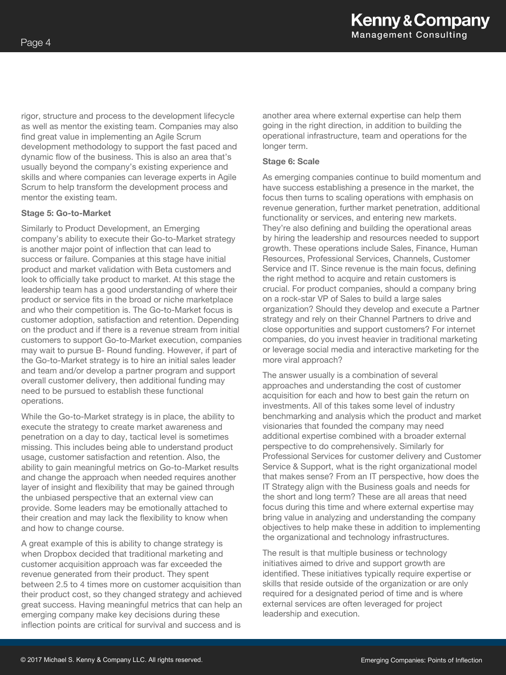rigor, structure and process to the development lifecycle as well as mentor the existing team. Companies may also find great value in implementing an Agile Scrum development methodology to support the fast paced and dynamic flow of the business. This is also an area that's usually beyond the company's existing experience and skills and where companies can leverage experts in Agile Scrum to help transform the development process and mentor the existing team.

#### **Stage 5: Go-to-Market**

Similarly to Product Development, an Emerging company's ability to execute their Go-to-Market strategy is another major point of inflection that can lead to success or failure. Companies at this stage have initial product and market validation with Beta customers and look to officially take product to market. At this stage the leadership team has a good understanding of where their product or service fits in the broad or niche marketplace and who their competition is. The Go-to-Market focus is customer adoption, satisfaction and retention. Depending on the product and if there is a revenue stream from initial customers to support Go-to-Market execution, companies may wait to pursue B- Round funding. However, if part of the Go-to-Market strategy is to hire an initial sales leader and team and/or develop a partner program and support overall customer delivery, then additional funding may need to be pursued to establish these functional operations.

While the Go-to-Market strategy is in place, the ability to execute the strategy to create market awareness and penetration on a day to day, tactical level is sometimes missing. This includes being able to understand product usage, customer satisfaction and retention. Also, the ability to gain meaningful metrics on Go-to-Market results and change the approach when needed requires another layer of insight and flexibility that may be gained through the unbiased perspective that an external view can provide. Some leaders may be emotionally attached to their creation and may lack the flexibility to know when and how to change course.

A great example of this is ability to change strategy is when Dropbox decided that traditional marketing and customer acquisition approach was far exceeded the revenue generated from their product. They spent between 2.5 to 4 times more on customer acquisition than their product cost, so they changed strategy and achieved great success. Having meaningful metrics that can help an emerging company make key decisions during these inflection points are critical for survival and success and is

another area where external expertise can help them going in the right direction, in addition to building the operational infrastructure, team and operations for the longer term.

#### **Stage 6: Scale**

As emerging companies continue to build momentum and have success establishing a presence in the market, the focus then turns to scaling operations with emphasis on revenue generation, further market penetration, additional functionality or services, and entering new markets. They're also defining and building the operational areas by hiring the leadership and resources needed to support growth. These operations include Sales, Finance, Human Resources, Professional Services, Channels, Customer Service and IT. Since revenue is the main focus, defining the right method to acquire and retain customers is crucial. For product companies, should a company bring on a rock-star VP of Sales to build a large sales organization? Should they develop and execute a Partner strategy and rely on their Channel Partners to drive and close opportunities and support customers? For internet companies, do you invest heavier in traditional marketing or leverage social media and interactive marketing for the more viral approach?

The answer usually is a combination of several approaches and understanding the cost of customer acquisition for each and how to best gain the return on investments. All of this takes some level of industry benchmarking and analysis which the product and market visionaries that founded the company may need additional expertise combined with a broader external perspective to do comprehensively. Similarly for Professional Services for customer delivery and Customer Service & Support, what is the right organizational model that makes sense? From an IT perspective, how does the IT Strategy align with the Business goals and needs for the short and long term? These are all areas that need focus during this time and where external expertise may bring value in analyzing and understanding the company objectives to help make these in addition to implementing the organizational and technology infrastructures.

The result is that multiple business or technology initiatives aimed to drive and support growth are identified. These initiatives typically require expertise or skills that reside outside of the organization or are only required for a designated period of time and is where external services are often leveraged for project leadership and execution.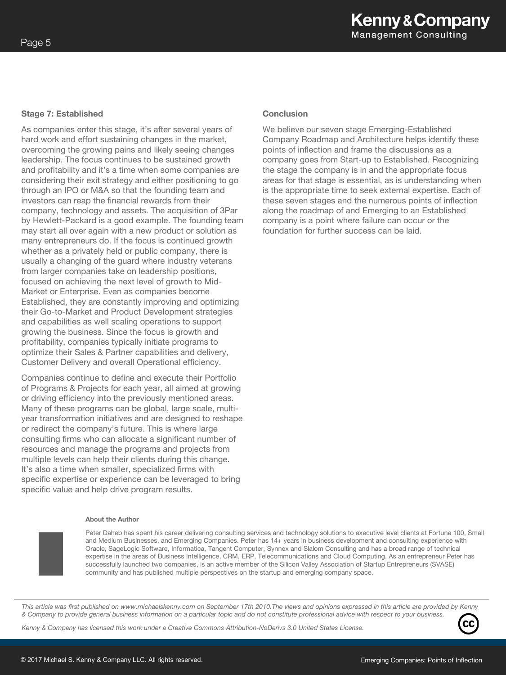#### **Stage 7: Established**

As companies enter this stage, it's after several years of hard work and effort sustaining changes in the market, overcoming the growing pains and likely seeing changes leadership. The focus continues to be sustained growth and profitability and it's a time when some companies are considering their exit strategy and either positioning to go through an IPO or M&A so that the founding team and investors can reap the financial rewards from their company, technology and assets. The acquisition of 3Par by Hewlett-Packard is a good example. The founding team may start all over again with a new product or solution as many entrepreneurs do. If the focus is continued growth whether as a privately held or public company, there is usually a changing of the guard where industry veterans from larger companies take on leadership positions, focused on achieving the next level of growth to Mid-Market or Enterprise. Even as companies become Established, they are constantly improving and optimizing their Go-to-Market and Product Development strategies and capabilities as well scaling operations to support growing the business. Since the focus is growth and profitability, companies typically initiate programs to optimize their Sales & Partner capabilities and delivery, Customer Delivery and overall Operational efficiency.

Companies continue to define and execute their Portfolio of Programs & Projects for each year, all aimed at growing or driving efficiency into the previously mentioned areas. Many of these programs can be global, large scale, multiyear transformation initiatives and are designed to reshape or redirect the company's future. This is where large consulting firms who can allocate a significant number of resources and manage the programs and projects from multiple levels can help their clients during this change. It's also a time when smaller, specialized firms with specific expertise or experience can be leveraged to bring specific value and help drive program results.

#### **Conclusion**

We believe our seven stage Emerging-Established Company Roadmap and Architecture helps identify these points of inflection and frame the discussions as a company goes from Start-up to Established. Recognizing the stage the company is in and the appropriate focus areas for that stage is essential, as is understanding when is the appropriate time to seek external expertise. Each of these seven stages and the numerous points of inflection along the roadmap of and Emerging to an Established company is a point where failure can occur or the foundation for further success can be laid.

#### **About the Author**

Peter Daheb has spent his career delivering consulting services and technology solutions to executive level clients at Fortune 100, Small and Medium Businesses, and Emerging Companies. Peter has 14+ years in business development and consulting experience with Oracle, SageLogic Software, Informatica, Tangent Computer, Synnex and Slalom Consulting and has a broad range of technical expertise in the areas of Business Intelligence, CRM, ERP, Telecommunications and Cloud Computing. As an entrepreneur Peter has successfully launched two companies, is an active member of the Silicon Valley Association of Startup Entrepreneurs (SVASE) community and has published multiple perspectives on the startup and emerging company space.

*This article was first published on www.michaelskenny.com on September 17th 2010.The views and opinions expressed in this article are provided by Kenny & Company to provide general business information on a particular topic and do not constitute professional advice with respect to your business.* 

*Kenny & Company has licensed this work under a Creative Commons Attribution-NoDerivs 3.0 United States License.*